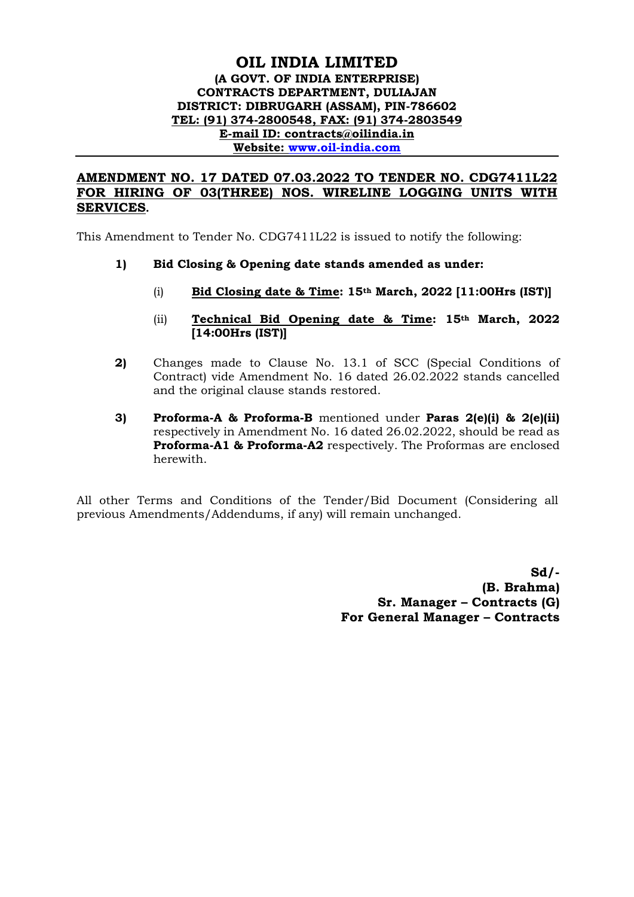## **OIL INDIA LIMITED (A GOVT. OF INDIA ENTERPRISE) CONTRACTS DEPARTMENT, DULIAJAN DISTRICT: DIBRUGARH (ASSAM), PIN-786602 TEL: (91) 374-2800548, FAX: (91) 374-2803549 E-mail ID: contracts@oilindia.in Website: [www.oil-india.com](http://www.oil-india.com/)**

## **AMENDMENT NO. 17 DATED 07.03.2022 TO TENDER NO. CDG7411L22 FOR HIRING OF 03(THREE) NOS. WIRELINE LOGGING UNITS WITH SERVICES.**

This Amendment to Tender No. CDG7411L22 is issued to notify the following:

- **1) Bid Closing & Opening date stands amended as under:**
	- (i) **Bid Closing date & Time: 15th March, 2022 [11:00Hrs (IST)]**
	- (ii) **Technical Bid Opening date & Time: 15th March, 2022 [14:00Hrs (IST)]**
- **2)** Changes made to Clause No. 13.1 of SCC (Special Conditions of Contract) vide Amendment No. 16 dated 26.02.2022 stands cancelled and the original clause stands restored.
- **3) Proforma-A & Proforma-B** mentioned under **Paras 2(e)(i) & 2(e)(ii)** respectively in Amendment No. 16 dated 26.02.2022, should be read as **Proforma-A1 & Proforma-A2** respectively. The Proformas are enclosed herewith.

All other Terms and Conditions of the Tender/Bid Document (Considering all previous Amendments/Addendums, if any) will remain unchanged.

> **Sd/- (B. Brahma) Sr. Manager – Contracts (G) For General Manager – Contracts**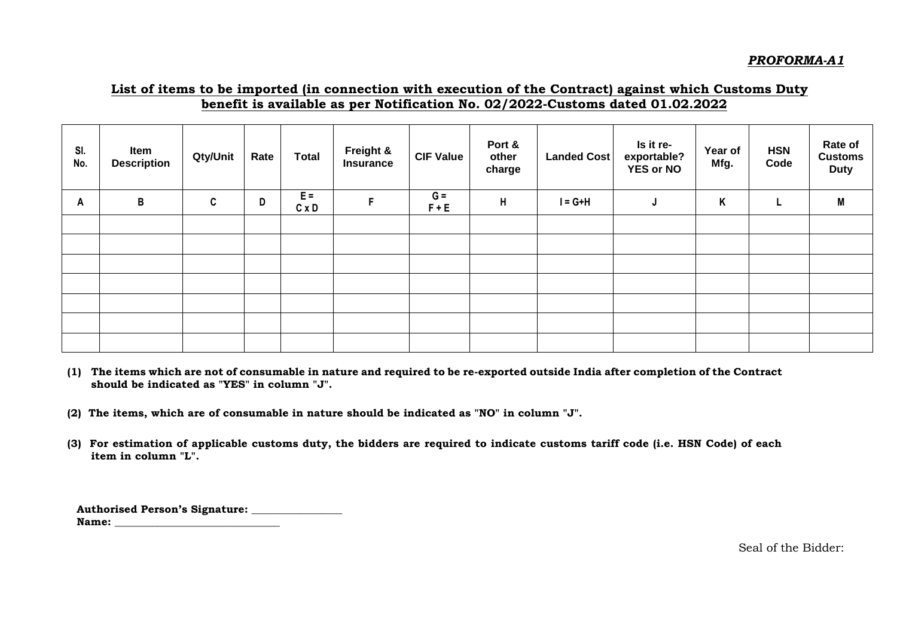## **List of items to be imported (in connection with execution of the Contract) against which Customs Duty benefit is available as per Notification No. 02/2022-Customs dated 01.02.2022**

| SI.<br>No. | Item<br><b>Description</b> | Qty/Unit | Rate | <b>Total</b>          | Freight &<br><b>Insurance</b> | <b>CIF Value</b> | Port &<br>other<br>charge | <b>Landed Cost</b> | Is it re-<br>exportable?<br><b>YES or NO</b> | Year of<br>Mfg. | <b>HSN</b><br>Code | Rate of<br><b>Customs</b><br><b>Duty</b> |
|------------|----------------------------|----------|------|-----------------------|-------------------------------|------------------|---------------------------|--------------------|----------------------------------------------|-----------------|--------------------|------------------------------------------|
| A          | B                          | C        | D    | $E =$<br>$C \times D$ | F                             | $G =$<br>$F + E$ | H                         | $I = G+H$          | J                                            | Κ               | L                  | M                                        |
|            |                            |          |      |                       |                               |                  |                           |                    |                                              |                 |                    |                                          |
|            |                            |          |      |                       |                               |                  |                           |                    |                                              |                 |                    |                                          |
|            |                            |          |      |                       |                               |                  |                           |                    |                                              |                 |                    |                                          |
|            |                            |          |      |                       |                               |                  |                           |                    |                                              |                 |                    |                                          |
|            |                            |          |      |                       |                               |                  |                           |                    |                                              |                 |                    |                                          |
|            |                            |          |      |                       |                               |                  |                           |                    |                                              |                 |                    |                                          |
|            |                            |          |      |                       |                               |                  |                           |                    |                                              |                 |                    |                                          |

**(1) The items which are not of consumable in nature and required to be re-exported outside India after completion of the Contract should be indicated as "YES" in column "J".**

**(2) The items, which are of consumable in nature should be indicated as "NO" in column "J".**

**(3) For estimation of applicable customs duty, the bidders are required to indicate customs tariff code (i.e. HSN Code) of each item in column "L".**

**Authorised Person's Signature: \_\_\_\_\_\_\_\_\_\_\_\_\_\_\_\_\_ Name: \_\_\_\_\_\_\_\_\_\_\_\_\_\_\_\_\_\_\_\_\_\_\_\_\_\_\_\_\_\_\_**

Seal of the Bidder: